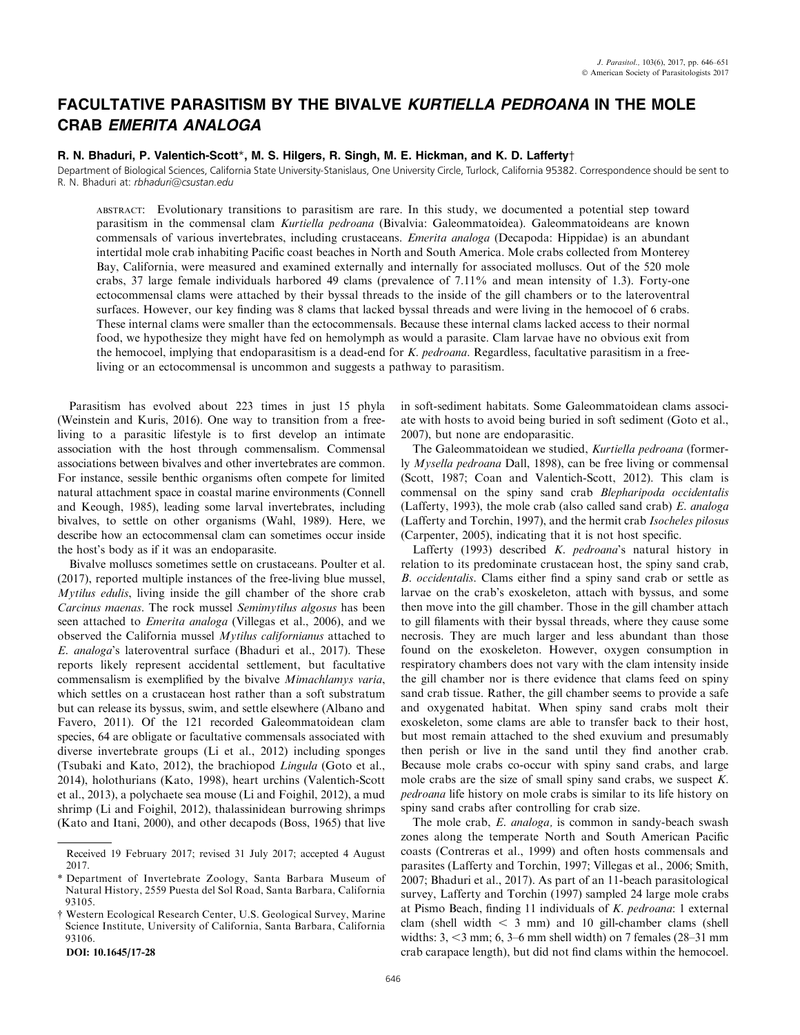# FACULTATIVE PARASITISM BY THE BIVALVE KURTIELLA PEDROANA IN THE MOLE CRAB EMERITA ANALOGA

## R. N. Bhaduri, P. Valentich-Scott\*, M. S. Hilgers, R. Singh, M. E. Hickman, and K. D. Lafferty†

Department of Biological Sciences, California State University-Stanislaus, One University Circle, Turlock, California 95382. Correspondence should be sent to R. N. Bhaduri at: rbhaduri@csustan.edu

ABSTRACT: Evolutionary transitions to parasitism are rare. In this study, we documented a potential step toward parasitism in the commensal clam Kurtiella pedroana (Bivalvia: Galeommatoidea). Galeommatoideans are known commensals of various invertebrates, including crustaceans. *Emerita analoga* (Decapoda: Hippidae) is an abundant intertidal mole crab inhabiting Pacific coast beaches in North and South America. Mole crabs collected from Monterey Bay, California, were measured and examined externally and internally for associated molluscs. Out of the 520 mole crabs, 37 large female individuals harbored 49 clams (prevalence of 7.11% and mean intensity of 1.3). Forty-one ectocommensal clams were attached by their byssal threads to the inside of the gill chambers or to the lateroventral surfaces. However, our key finding was 8 clams that lacked byssal threads and were living in the hemocoel of 6 crabs. These internal clams were smaller than the ectocommensals. Because these internal clams lacked access to their normal food, we hypothesize they might have fed on hemolymph as would a parasite. Clam larvae have no obvious exit from the hemocoel, implying that endoparasitism is a dead-end for K. pedroana. Regardless, facultative parasitism in a freeliving or an ectocommensal is uncommon and suggests a pathway to parasitism.

Parasitism has evolved about 223 times in just 15 phyla (Weinstein and Kuris, 2016). One way to transition from a freeliving to a parasitic lifestyle is to first develop an intimate association with the host through commensalism. Commensal associations between bivalves and other invertebrates are common. For instance, sessile benthic organisms often compete for limited natural attachment space in coastal marine environments (Connell and Keough, 1985), leading some larval invertebrates, including bivalves, to settle on other organisms (Wahl, 1989). Here, we describe how an ectocommensal clam can sometimes occur inside the host's body as if it was an endoparasite.

Bivalve molluscs sometimes settle on crustaceans. Poulter et al. (2017), reported multiple instances of the free-living blue mussel, Mytilus edulis, living inside the gill chamber of the shore crab Carcinus maenas. The rock mussel Semimytilus algosus has been seen attached to Emerita analoga (Villegas et al., 2006), and we observed the California mussel Mytilus californianus attached to E. analoga's lateroventral surface (Bhaduri et al., 2017). These reports likely represent accidental settlement, but facultative commensalism is exemplified by the bivalve Mimachlamys varia, which settles on a crustacean host rather than a soft substratum but can release its byssus, swim, and settle elsewhere (Albano and Favero, 2011). Of the 121 recorded Galeommatoidean clam species, 64 are obligate or facultative commensals associated with diverse invertebrate groups (Li et al., 2012) including sponges (Tsubaki and Kato, 2012), the brachiopod Lingula (Goto et al., 2014), holothurians (Kato, 1998), heart urchins (Valentich-Scott et al., 2013), a polychaete sea mouse (Li and Foighil, 2012), a mud shrimp (Li and Foighil, 2012), thalassinidean burrowing shrimps (Kato and Itani, 2000), and other decapods (Boss, 1965) that live

DOI: 10.1645/17-28

in soft-sediment habitats. Some Galeommatoidean clams associate with hosts to avoid being buried in soft sediment (Goto et al., 2007), but none are endoparasitic.

The Galeommatoidean we studied, Kurtiella pedroana (formerly Mysella pedroana Dall, 1898), can be free living or commensal (Scott, 1987; Coan and Valentich-Scott, 2012). This clam is commensal on the spiny sand crab Blepharipoda occidentalis (Lafferty, 1993), the mole crab (also called sand crab)  $E$ . analoga (Lafferty and Torchin, 1997), and the hermit crab Isocheles pilosus (Carpenter, 2005), indicating that it is not host specific.

Lafferty (1993) described K. pedroana's natural history in relation to its predominate crustacean host, the spiny sand crab, B. occidentalis. Clams either find a spiny sand crab or settle as larvae on the crab's exoskeleton, attach with byssus, and some then move into the gill chamber. Those in the gill chamber attach to gill filaments with their byssal threads, where they cause some necrosis. They are much larger and less abundant than those found on the exoskeleton. However, oxygen consumption in respiratory chambers does not vary with the clam intensity inside the gill chamber nor is there evidence that clams feed on spiny sand crab tissue. Rather, the gill chamber seems to provide a safe and oxygenated habitat. When spiny sand crabs molt their exoskeleton, some clams are able to transfer back to their host, but most remain attached to the shed exuvium and presumably then perish or live in the sand until they find another crab. Because mole crabs co-occur with spiny sand crabs, and large mole crabs are the size of small spiny sand crabs, we suspect K. pedroana life history on mole crabs is similar to its life history on spiny sand crabs after controlling for crab size.

The mole crab, *E. analoga*, is common in sandy-beach swash zones along the temperate North and South American Pacific coasts (Contreras et al., 1999) and often hosts commensals and parasites (Lafferty and Torchin, 1997; Villegas et al., 2006; Smith, 2007; Bhaduri et al., 2017). As part of an 11-beach parasitological survey, Lafferty and Torchin (1997) sampled 24 large mole crabs at Pismo Beach, finding 11 individuals of K. pedroana: 1 external clam (shell width  $\leq$  3 mm) and 10 gill-chamber clams (shell widths:  $3, \leq 3$  mm; 6,  $3-6$  mm shell width) on 7 females (28–31 mm) crab carapace length), but did not find clams within the hemocoel.

Received 19 February 2017; revised 31 July 2017; accepted 4 August 2017.

<sup>\*</sup> Department of Invertebrate Zoology, Santa Barbara Museum of Natural History, 2559 Puesta del Sol Road, Santa Barbara, California 93105.

<sup>†</sup> Western Ecological Research Center, U.S. Geological Survey, Marine Science Institute, University of California, Santa Barbara, California 93106.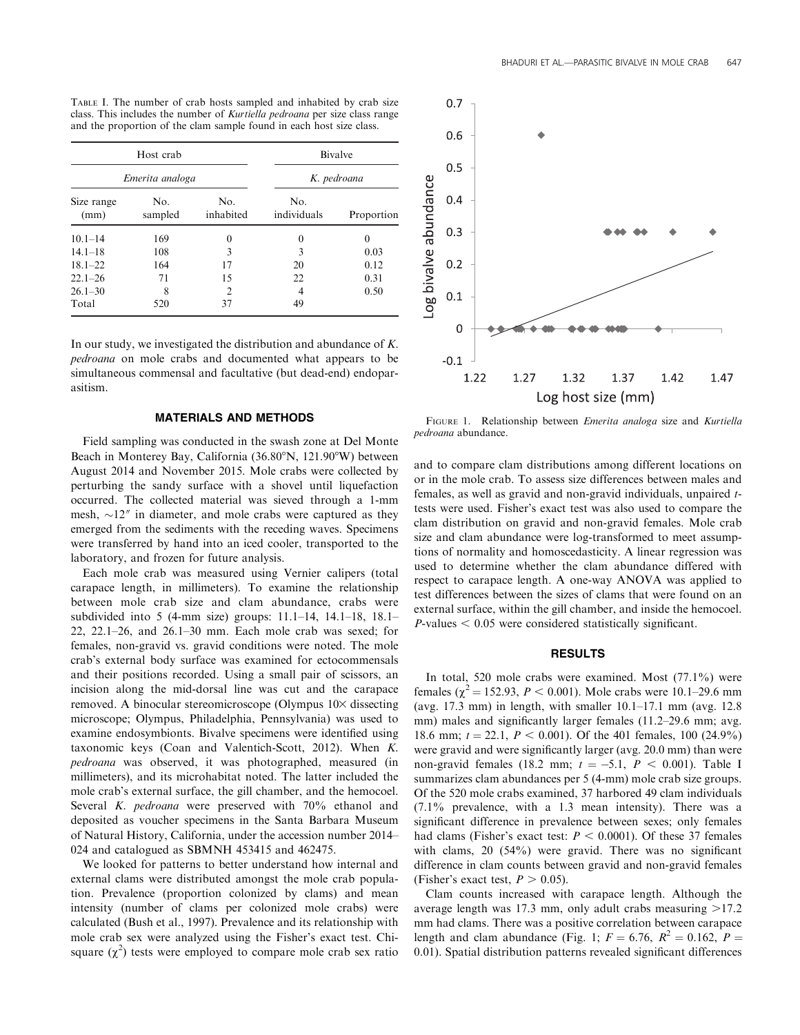|                    |                 |                  | cass. This includes the number of Karnena pearbana per size class range<br>and the proportion of the clam sample found in each host size class. |            |
|--------------------|-----------------|------------------|-------------------------------------------------------------------------------------------------------------------------------------------------|------------|
| Host crab          |                 |                  | Bivalve                                                                                                                                         |            |
|                    | Emerita analoga | K. pedroana      |                                                                                                                                                 |            |
| Size range<br>(mm) | No.<br>sampled  | No.<br>inhabited | No.<br>individuals                                                                                                                              | Proportion |

TABLE I. The number of crab hosts sampled and inhabited by crab size class. This includes the number of Kurtiella pedroana per size class range

| Size range<br>(mm) | No.<br>sampled | No.<br>inhabited | No.<br>individuals | Proportion |
|--------------------|----------------|------------------|--------------------|------------|
| $10.1 - 14$        | 169            | 0                | $\Omega$           | 0          |
| $14.1 - 18$        | 108            | 3                | 3                  | 0.03       |
| $18.1 - 22$        | 164            | 17               | 20                 | 0.12       |
| $22.1 - 26$        | 71             | 15               | 22                 | 0.31       |
| $26.1 - 30$        | 8              | $\mathfrak{D}$   | 4                  | 0.50       |
| Total              | 520            | 37               | 49                 |            |

In our study, we investigated the distribution and abundance of K. pedroana on mole crabs and documented what appears to be simultaneous commensal and facultative (but dead-end) endoparasitism.

### MATERIALS AND METHODS

Field sampling was conducted in the swash zone at Del Monte Beach in Monterey Bay, California  $(36.80^{\circ}N, 121.90^{\circ}W)$  between August 2014 and November 2015. Mole crabs were collected by perturbing the sandy surface with a shovel until liquefaction occurred. The collected material was sieved through a 1-mm mesh,  $\sim$ 12<sup> $\prime\prime$ </sup> in diameter, and mole crabs were captured as they emerged from the sediments with the receding waves. Specimens were transferred by hand into an iced cooler, transported to the laboratory, and frozen for future analysis.

Each mole crab was measured using Vernier calipers (total carapace length, in millimeters). To examine the relationship between mole crab size and clam abundance, crabs were subdivided into 5 (4-mm size) groups: 11.1–14, 14.1–18, 18.1– 22, 22.1–26, and 26.1–30 mm. Each mole crab was sexed; for females, non-gravid vs. gravid conditions were noted. The mole crab's external body surface was examined for ectocommensals and their positions recorded. Using a small pair of scissors, an incision along the mid-dorsal line was cut and the carapace removed. A binocular stereomicroscope (Olympus  $10\times$  dissecting microscope; Olympus, Philadelphia, Pennsylvania) was used to examine endosymbionts. Bivalve specimens were identified using taxonomic keys (Coan and Valentich-Scott, 2012). When K. pedroana was observed, it was photographed, measured (in millimeters), and its microhabitat noted. The latter included the mole crab's external surface, the gill chamber, and the hemocoel. Several K. *pedroana* were preserved with 70% ethanol and deposited as voucher specimens in the Santa Barbara Museum of Natural History, California, under the accession number 2014– 024 and catalogued as SBMNH 453415 and 462475.

We looked for patterns to better understand how internal and external clams were distributed amongst the mole crab population. Prevalence (proportion colonized by clams) and mean intensity (number of clams per colonized mole crabs) were calculated (Bush et al., 1997). Prevalence and its relationship with mole crab sex were analyzed using the Fisher's exact test. Chisquare  $(\chi^2)$  tests were employed to compare mole crab sex ratio



FIGURE 1. Relationship between Emerita analoga size and Kurtiella pedroana abundance.

and to compare clam distributions among different locations on or in the mole crab. To assess size differences between males and females, as well as gravid and non-gravid individuals, unpaired ttests were used. Fisher's exact test was also used to compare the clam distribution on gravid and non-gravid females. Mole crab size and clam abundance were log-transformed to meet assumptions of normality and homoscedasticity. A linear regression was used to determine whether the clam abundance differed with respect to carapace length. A one-way ANOVA was applied to test differences between the sizes of clams that were found on an external surface, within the gill chamber, and inside the hemocoel.  $P$ -values  $\leq 0.05$  were considered statistically significant.

#### RESULTS

In total, 520 mole crabs were examined. Most (77.1%) were females ( $\chi^2$  = 152.93, P < 0.001). Mole crabs were 10.1–29.6 mm (avg. 17.3 mm) in length, with smaller  $10.1-17.1$  mm (avg. 12.8) mm) males and significantly larger females (11.2–29.6 mm; avg. 18.6 mm;  $t = 22.1$ ,  $P < 0.001$ ). Of the 401 females, 100 (24.9%) were gravid and were significantly larger (avg. 20.0 mm) than were non-gravid females (18.2 mm;  $t = -5.1$ ,  $P < 0.001$ ). Table I summarizes clam abundances per 5 (4-mm) mole crab size groups. Of the 520 mole crabs examined, 37 harbored 49 clam individuals (7.1% prevalence, with a 1.3 mean intensity). There was a significant difference in prevalence between sexes; only females had clams (Fisher's exact test:  $P < 0.0001$ ). Of these 37 females with clams, 20 (54%) were gravid. There was no significant difference in clam counts between gravid and non-gravid females (Fisher's exact test,  $P > 0.05$ ).

Clam counts increased with carapace length. Although the average length was 17.3 mm, only adult crabs measuring  $>17.2$ mm had clams. There was a positive correlation between carapace length and clam abundance (Fig. 1;  $F = 6.76$ ,  $R^2 = 0.162$ ,  $P =$ 0.01). Spatial distribution patterns revealed significant differences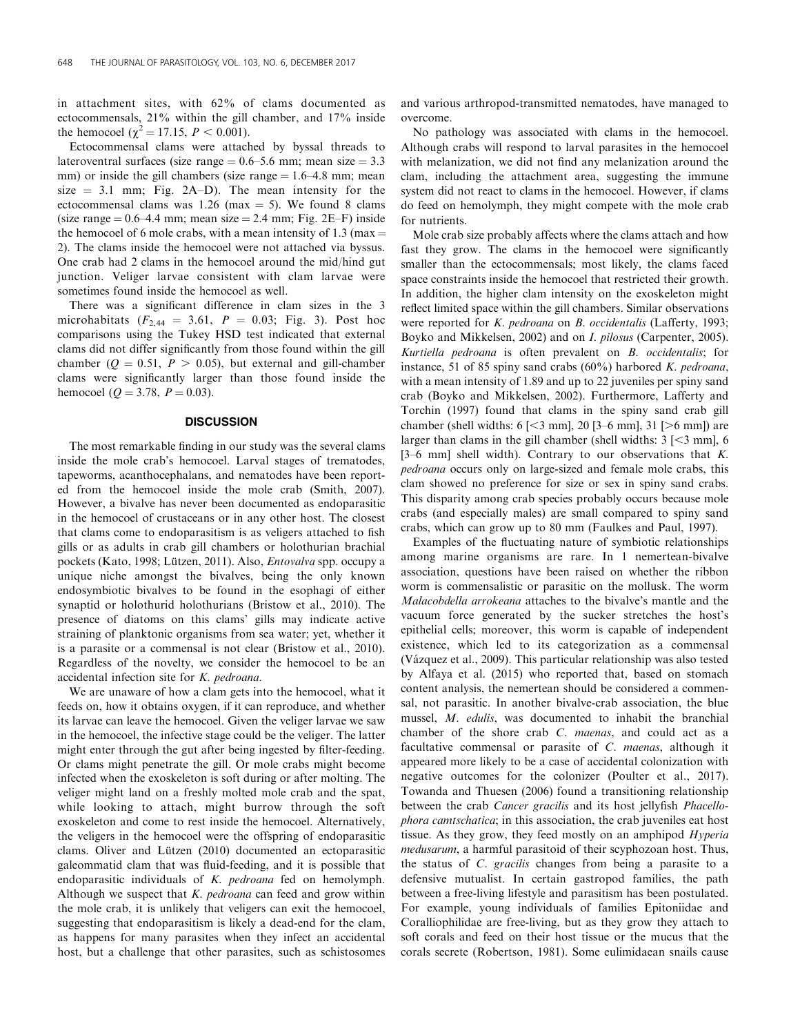in attachment sites, with 62% of clams documented as ectocommensals, 21% within the gill chamber, and 17% inside the hemocoel ( $\chi^2 = 17.15$ ,  $P < 0.001$ ).

Ectocommensal clams were attached by byssal threads to lateroventral surfaces (size range  $= 0.6-5.6$  mm; mean size  $= 3.3$ ) mm) or inside the gill chambers (size range  $= 1.6 - 4.8$  mm; mean size  $= 3.1$  mm; Fig. 2A–D). The mean intensity for the ectocommensal clams was 1.26 (max  $=$  5). We found 8 clams (size range  $= 0.6-4.4$  mm; mean size  $= 2.4$  mm; Fig. 2E–F) inside the hemocoel of 6 mole crabs, with a mean intensity of 1.3 (max  $=$ 2). The clams inside the hemocoel were not attached via byssus. One crab had 2 clams in the hemocoel around the mid/hind gut junction. Veliger larvae consistent with clam larvae were sometimes found inside the hemocoel as well.

There was a significant difference in clam sizes in the 3 microhabitats ( $F_{2,44} = 3.61, P = 0.03$ ; Fig. 3). Post hoc comparisons using the Tukey HSD test indicated that external clams did not differ significantly from those found within the gill chamber ( $Q = 0.51$ ,  $P > 0.05$ ), but external and gill-chamber clams were significantly larger than those found inside the hemocoel ( $Q = 3.78$ ,  $P = 0.03$ ).

### **DISCUSSION**

The most remarkable finding in our study was the several clams inside the mole crab's hemocoel. Larval stages of trematodes, tapeworms, acanthocephalans, and nematodes have been reported from the hemocoel inside the mole crab (Smith, 2007). However, a bivalve has never been documented as endoparasitic in the hemocoel of crustaceans or in any other host. The closest that clams come to endoparasitism is as veligers attached to fish gills or as adults in crab gill chambers or holothurian brachial pockets (Kato, 1998; Lützen, 2011). Also, Entovalva spp. occupy a unique niche amongst the bivalves, being the only known endosymbiotic bivalves to be found in the esophagi of either synaptid or holothurid holothurians (Bristow et al., 2010). The presence of diatoms on this clams' gills may indicate active straining of planktonic organisms from sea water; yet, whether it is a parasite or a commensal is not clear (Bristow et al., 2010). Regardless of the novelty, we consider the hemocoel to be an accidental infection site for K. pedroana.

We are unaware of how a clam gets into the hemocoel, what it feeds on, how it obtains oxygen, if it can reproduce, and whether its larvae can leave the hemocoel. Given the veliger larvae we saw in the hemocoel, the infective stage could be the veliger. The latter might enter through the gut after being ingested by filter-feeding. Or clams might penetrate the gill. Or mole crabs might become infected when the exoskeleton is soft during or after molting. The veliger might land on a freshly molted mole crab and the spat, while looking to attach, might burrow through the soft exoskeleton and come to rest inside the hemocoel. Alternatively, the veligers in the hemocoel were the offspring of endoparasitic clams. Oliver and Lützen  $(2010)$  documented an ectoparasitic galeommatid clam that was fluid-feeding, and it is possible that endoparasitic individuals of K. pedroana fed on hemolymph. Although we suspect that  $K$ . pedroana can feed and grow within the mole crab, it is unlikely that veligers can exit the hemocoel, suggesting that endoparasitism is likely a dead-end for the clam, as happens for many parasites when they infect an accidental host, but a challenge that other parasites, such as schistosomes and various arthropod-transmitted nematodes, have managed to overcome.

No pathology was associated with clams in the hemocoel. Although crabs will respond to larval parasites in the hemocoel with melanization, we did not find any melanization around the clam, including the attachment area, suggesting the immune system did not react to clams in the hemocoel. However, if clams do feed on hemolymph, they might compete with the mole crab for nutrients.

Mole crab size probably affects where the clams attach and how fast they grow. The clams in the hemocoel were significantly smaller than the ectocommensals; most likely, the clams faced space constraints inside the hemocoel that restricted their growth. In addition, the higher clam intensity on the exoskeleton might reflect limited space within the gill chambers. Similar observations were reported for K. pedroana on B. occidentalis (Lafferty, 1993; Boyko and Mikkelsen, 2002) and on *I. pilosus* (Carpenter, 2005). Kurtiella pedroana is often prevalent on B. occidentalis; for instance, 51 of 85 spiny sand crabs  $(60\%)$  harbored K. pedroana, with a mean intensity of 1.89 and up to 22 juveniles per spiny sand crab (Boyko and Mikkelsen, 2002). Furthermore, Lafferty and Torchin (1997) found that clams in the spiny sand crab gill chamber (shell widths:  $6$  [ $\leq$ 3 mm], 20 [3–6 mm], 31 [ $\geq$ 6 mm]) are larger than clams in the gill chamber (shell widths:  $3$  [ $\leq$ 3 mm], 6 [3–6 mm] shell width). Contrary to our observations that K. pedroana occurs only on large-sized and female mole crabs, this clam showed no preference for size or sex in spiny sand crabs. This disparity among crab species probably occurs because mole crabs (and especially males) are small compared to spiny sand crabs, which can grow up to 80 mm (Faulkes and Paul, 1997).

Examples of the fluctuating nature of symbiotic relationships among marine organisms are rare. In 1 nemertean-bivalve association, questions have been raised on whether the ribbon worm is commensalistic or parasitic on the mollusk. The worm Malacobdella arrokeana attaches to the bivalve's mantle and the vacuum force generated by the sucker stretches the host's epithelial cells; moreover, this worm is capable of independent existence, which led to its categorization as a commensal (Va´zquez et al., 2009). This particular relationship was also tested by Alfaya et al. (2015) who reported that, based on stomach content analysis, the nemertean should be considered a commensal, not parasitic. In another bivalve-crab association, the blue mussel, M. edulis, was documented to inhabit the branchial chamber of the shore crab C. maenas, and could act as a facultative commensal or parasite of C. maenas, although it appeared more likely to be a case of accidental colonization with negative outcomes for the colonizer (Poulter et al., 2017). Towanda and Thuesen (2006) found a transitioning relationship between the crab Cancer gracilis and its host jellyfish Phacellophora camtschatica; in this association, the crab juveniles eat host tissue. As they grow, they feed mostly on an amphipod Hyperia medusarum, a harmful parasitoid of their scyphozoan host. Thus, the status of C. gracilis changes from being a parasite to a defensive mutualist. In certain gastropod families, the path between a free-living lifestyle and parasitism has been postulated. For example, young individuals of families Epitoniidae and Coralliophilidae are free-living, but as they grow they attach to soft corals and feed on their host tissue or the mucus that the corals secrete (Robertson, 1981). Some eulimidaean snails cause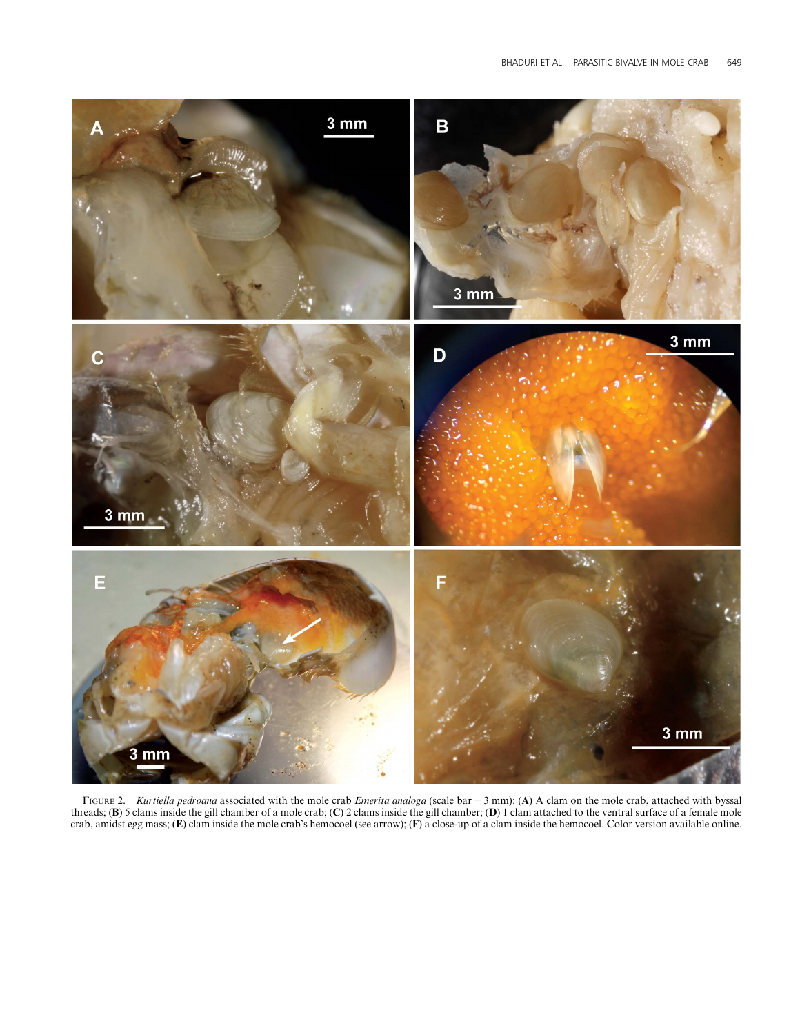

FIGURE 2. Kurtiella pedroana associated with the mole crab *Emerita analoga* (scale bar = 3 mm): (A) A clam on the mole crab, attached with byssal threads; (B) 5 clams inside the gill chamber of a mole crab; (C) 2 clams inside the gill chamber; (D) 1 clam attached to the ventral surface of a female mole crab, amidst egg mass; (E) clam inside the mole crab's hemocoel (see arrow); (F) a close-up of a clam inside the hemocoel. Color version available online.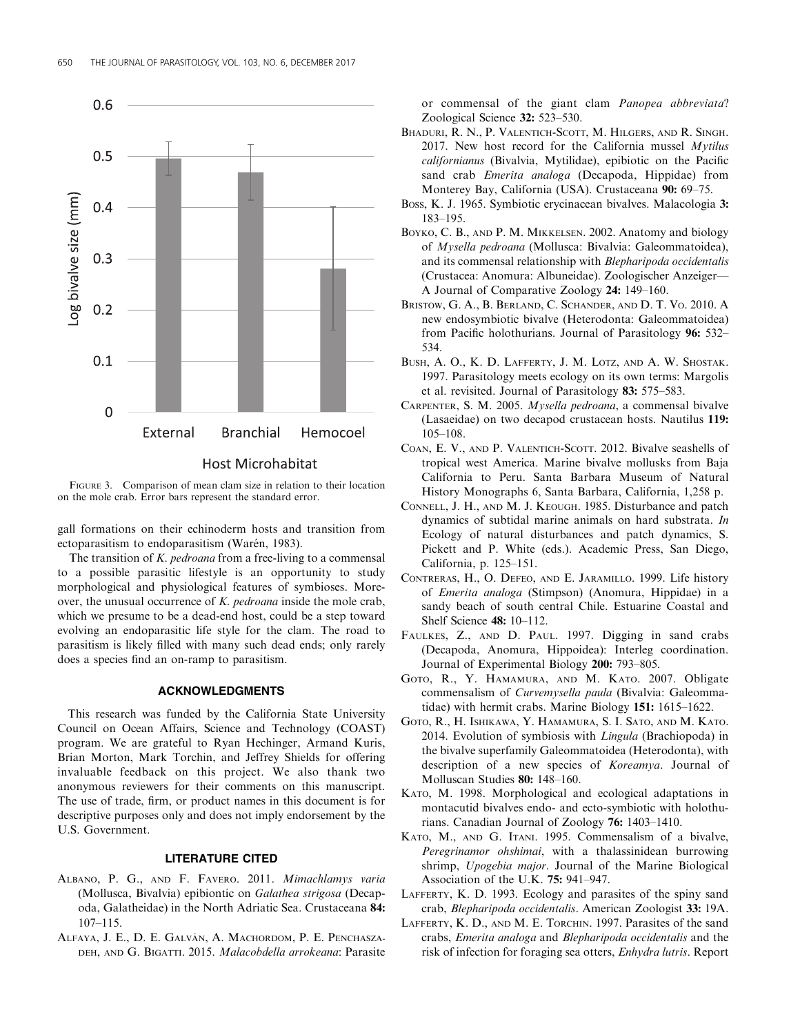

FIGURE 3. Comparison of mean clam size in relation to their location on the mole crab. Error bars represent the standard error.

gall formations on their echinoderm hosts and transition from ectoparasitism to endoparasitism (Warén, 1983).

The transition of K. pedroana from a free-living to a commensal to a possible parasitic lifestyle is an opportunity to study morphological and physiological features of symbioses. Moreover, the unusual occurrence of  $K.$  pedroana inside the mole crab, which we presume to be a dead-end host, could be a step toward evolving an endoparasitic life style for the clam. The road to parasitism is likely filled with many such dead ends; only rarely does a species find an on-ramp to parasitism.

## ACKNOWLEDGMENTS

This research was funded by the California State University Council on Ocean Affairs, Science and Technology (COAST) program. We are grateful to Ryan Hechinger, Armand Kuris, Brian Morton, Mark Torchin, and Jeffrey Shields for offering invaluable feedback on this project. We also thank two anonymous reviewers for their comments on this manuscript. The use of trade, firm, or product names in this document is for descriptive purposes only and does not imply endorsement by the U.S. Government.

#### LITERATURE CITED

- ALBANO, P. G., AND F. FAVERO. 2011. Mimachlamys varia (Mollusca, Bivalvia) epibiontic on Galathea strigosa (Decapoda, Galatheidae) in the North Adriatic Sea. Crustaceana 84: 107–115.
- ALFAYA, J. E., D. E. GALVÁN, A. MACHORDOM, P. E. PENCHASZA-DEH, AND G. BIGATTI. 2015. Malacobdella arrokeana: Parasite

or commensal of the giant clam Panopea abbreviata? Zoological Science 32: 523–530.

- BHADURI, R. N., P. VALENTICH-SCOTT, M. HILGERS, AND R. SINGH. 2017. New host record for the California mussel  $Mvtilus$ californianus (Bivalvia, Mytilidae), epibiotic on the Pacific sand crab *Emerita analoga* (Decapoda, Hippidae) from Monterey Bay, California (USA). Crustaceana 90: 69–75.
- BOSS, K. J. 1965. Symbiotic erycinacean bivalves. Malacologia 3: 183–195.
- BOYKO, C. B., AND P. M. MIKKELSEN. 2002. Anatomy and biology of Mysella pedroana (Mollusca: Bivalvia: Galeommatoidea), and its commensal relationship with Blepharipoda occidentalis (Crustacea: Anomura: Albuneidae). Zoologischer Anzeiger— A Journal of Comparative Zoology 24: 149–160.
- BRISTOW, G. A., B. BERLAND, C. SCHANDER, AND D. T. VO. 2010. A new endosymbiotic bivalve (Heterodonta: Galeommatoidea) from Pacific holothurians. Journal of Parasitology 96: 532– 534.
- BUSH, A. O., K. D. LAFFERTY, J. M. LOTZ, AND A. W. SHOSTAK. 1997. Parasitology meets ecology on its own terms: Margolis et al. revisited. Journal of Parasitology 83: 575–583.
- CARPENTER, S. M. 2005. Mysella pedroana, a commensal bivalve (Lasaeidae) on two decapod crustacean hosts. Nautilus 119: 105–108.
- COAN, E. V., AND P. VALENTICH-SCOTT. 2012. Bivalve seashells of tropical west America. Marine bivalve mollusks from Baja California to Peru. Santa Barbara Museum of Natural History Monographs 6, Santa Barbara, California, 1,258 p.
- CONNELL, J. H., AND M. J. KEOUGH. 1985. Disturbance and patch dynamics of subtidal marine animals on hard substrata. In Ecology of natural disturbances and patch dynamics, S. Pickett and P. White (eds.). Academic Press, San Diego, California, p. 125–151.
- CONTRERAS, H., O. DEFEO, AND E. JARAMILLO. 1999. Life history of Emerita analoga (Stimpson) (Anomura, Hippidae) in a sandy beach of south central Chile. Estuarine Coastal and Shelf Science 48: 10–112.
- FAULKES, Z., AND D. PAUL. 1997. Digging in sand crabs (Decapoda, Anomura, Hippoidea): Interleg coordination. Journal of Experimental Biology 200: 793–805.
- GOTO, R., Y. HAMAMURA, AND M. KATO. 2007. Obligate commensalism of Curvemysella paula (Bivalvia: Galeommatidae) with hermit crabs. Marine Biology 151: 1615–1622.
- GOTO, R., H. ISHIKAWA, Y. HAMAMURA, S. I. SATO, AND M. KATO. 2014. Evolution of symbiosis with Lingula (Brachiopoda) in the bivalve superfamily Galeommatoidea (Heterodonta), with description of a new species of Koreamya. Journal of Molluscan Studies 80: 148–160.
- KATO, M. 1998. Morphological and ecological adaptations in montacutid bivalves endo- and ecto-symbiotic with holothurians. Canadian Journal of Zoology 76: 1403–1410.
- KATO, M., AND G. ITANI. 1995. Commensalism of a bivalve, Peregrinamor ohshimai, with a thalassinidean burrowing shrimp, Upogebia major. Journal of the Marine Biological Association of the U.K. 75: 941–947.
- LAFFERTY, K. D. 1993. Ecology and parasites of the spiny sand crab, Blepharipoda occidentalis. American Zoologist 33: 19A.
- LAFFERTY, K. D., AND M. E. TORCHIN. 1997. Parasites of the sand crabs, Emerita analoga and Blepharipoda occidentalis and the risk of infection for foraging sea otters, Enhydra lutris. Report